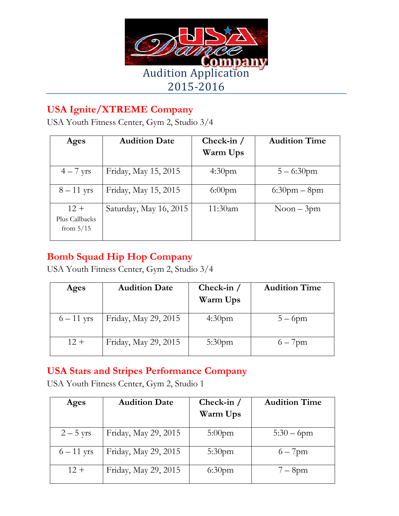

## **USA Ignite/XTREME Company**

USA Youth Fitness Center, Gym 2, Studio 3/4

| Ages                                    | <b>Audition Date</b>   | Check-in $/$       | <b>Audition Time</b> |
|-----------------------------------------|------------------------|--------------------|----------------------|
|                                         |                        | Warm Ups           |                      |
| $4-7$ yrs                               | Friday, May 15, 2015   | 4:30 <sub>pm</sub> | $5 - 6:30$ pm        |
| $8-11$ yrs                              | Friday, May 15, 2015   | $6:00$ pm          | $6:30$ pm – 8pm      |
| $12 +$<br>Plus Callbacks<br>from $5/15$ | Saturday, May 16, 2015 | 11:30am            | $N$ oon $-3$ pm      |

## **Bomb Squad Hip Hop Company**

USA Youth Fitness Center, Gym 2, Studio 3/4

| Ages         | <b>Audition Date</b> | Check-in $/$<br>Warm Ups | <b>Audition Time</b> |
|--------------|----------------------|--------------------------|----------------------|
| $6 - 11$ yrs | Friday, May 29, 2015 | 4:30 <sub>pm</sub>       | $5-6$ pm             |
| $12 +$       | Friday, May 29, 2015 | $5:30$ pm                | $6 - 7$ pm           |

### **USA Stars and Stripes Performance Company**

USA Youth Fitness Center, Gym 2, Studio 1

| Ages         | <b>Audition Date</b> | Check-in $/$<br>Warm Ups | <b>Audition Time</b> |
|--------------|----------------------|--------------------------|----------------------|
| $2-5$ yrs    | Friday, May 29, 2015 | $5:00$ pm                | $5:30 - 6$ pm        |
| $6 - 11$ yrs | Friday, May 29, 2015 | 5:30 <sub>pm</sub>       | $6 - 7$ pm           |
| $12 +$       | Friday, May 29, 2015 | 6:30 <sub>pm</sub>       | $7-8$ pm             |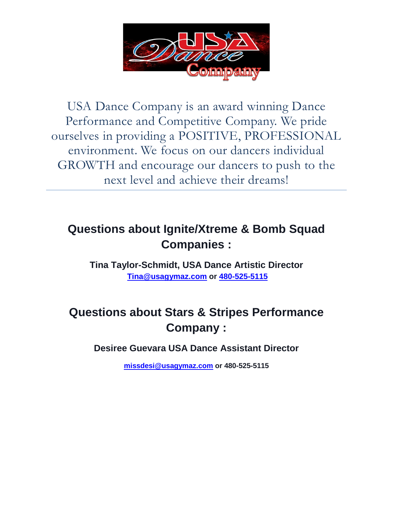

USA Dance Company is an award winning Dance Performance and Competitive Company. We pride ourselves in providing a POSITIVE, PROFESSIONAL environment. We focus on our dancers individual GROWTH and encourage our dancers to push to the next level and achieve their dreams!

## **Questions about Ignite/Xtreme & Bomb Squad Companies :**

**Tina Taylor-Schmidt, USA Dance Artistic Director [Tina@usagymaz.com](mailto:Tina@usagymaz.com) or [480-525-5115](https://www.twilio.com/user/account/phone-numbers/PN2ebbf459043063ddb5cbc27fb844cd3a)**

# **Questions about Stars & Stripes Performance Company :**

**Desiree Guevara USA Dance Assistant Director**

**[missdesi@usagymaz.com](mailto:missdesi@usagymaz.com) or 480-525-5115**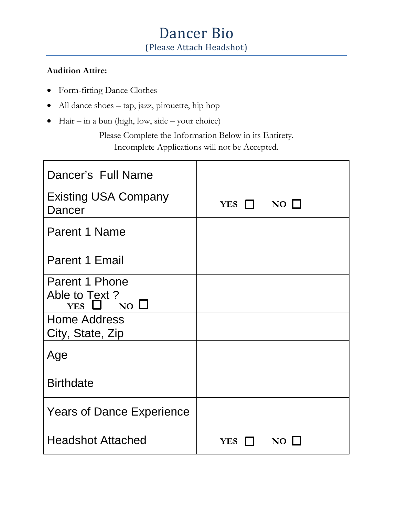# Dancer Bio (Please Attach Headshot)

#### **Audition Attire:**

- Form-fitting Dance Clothes
- All dance shoes tap, jazz, pirouette, hip hop
- $\bullet$  Hair in a bun (high, low, side your choice)

Please Complete the Information Below in its Entirety. Incomplete Applications will not be Accepted.

| Dancer's Full Name                    |                           |
|---------------------------------------|---------------------------|
| <b>Existing USA Company</b><br>Dancer | $NO$ $\Box$<br>YES $\Box$ |
| Parent 1 Name                         |                           |
| <b>Parent 1 Email</b>                 |                           |
| Parent 1 Phone                        |                           |
| Able to Text?<br>YES $\Box$ NO $\Box$ |                           |
| <b>Home Address</b>                   |                           |
| City, State, Zip                      |                           |
| Age                                   |                           |
| <b>Birthdate</b>                      |                           |
| <b>Years of Dance Experience</b>      |                           |
| <b>Headshot Attached</b>              | <b>NO</b><br><b>YES</b>   |